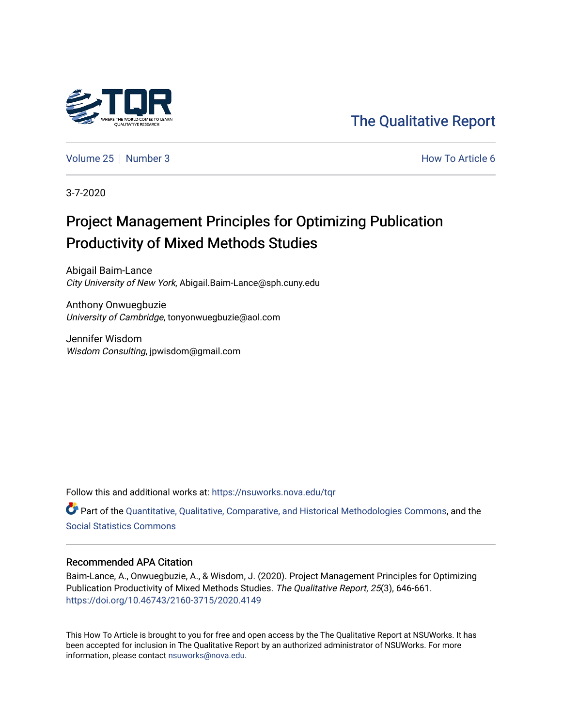

[The Qualitative Report](https://nsuworks.nova.edu/tqr) 

[Volume 25](https://nsuworks.nova.edu/tqr/vol25) [Number 3](https://nsuworks.nova.edu/tqr/vol25/iss3) **How To Article 6** Number 3

3-7-2020

## Project Management Principles for Optimizing Publication Productivity of Mixed Methods Studies

Abigail Baim-Lance City University of New York, Abigail.Baim-Lance@sph.cuny.edu

Anthony Onwuegbuzie University of Cambridge, tonyonwuegbuzie@aol.com

Jennifer Wisdom Wisdom Consulting, jpwisdom@gmail.com

Follow this and additional works at: [https://nsuworks.nova.edu/tqr](https://nsuworks.nova.edu/tqr?utm_source=nsuworks.nova.edu%2Ftqr%2Fvol25%2Fiss3%2F6&utm_medium=PDF&utm_campaign=PDFCoverPages) 

Part of the [Quantitative, Qualitative, Comparative, and Historical Methodologies Commons,](http://network.bepress.com/hgg/discipline/423?utm_source=nsuworks.nova.edu%2Ftqr%2Fvol25%2Fiss3%2F6&utm_medium=PDF&utm_campaign=PDFCoverPages) and the [Social Statistics Commons](http://network.bepress.com/hgg/discipline/1275?utm_source=nsuworks.nova.edu%2Ftqr%2Fvol25%2Fiss3%2F6&utm_medium=PDF&utm_campaign=PDFCoverPages) 

#### Recommended APA Citation

Baim-Lance, A., Onwuegbuzie, A., & Wisdom, J. (2020). Project Management Principles for Optimizing Publication Productivity of Mixed Methods Studies. The Qualitative Report, 25(3), 646-661. <https://doi.org/10.46743/2160-3715/2020.4149>

This How To Article is brought to you for free and open access by the The Qualitative Report at NSUWorks. It has been accepted for inclusion in The Qualitative Report by an authorized administrator of NSUWorks. For more information, please contact [nsuworks@nova.edu.](mailto:nsuworks@nova.edu)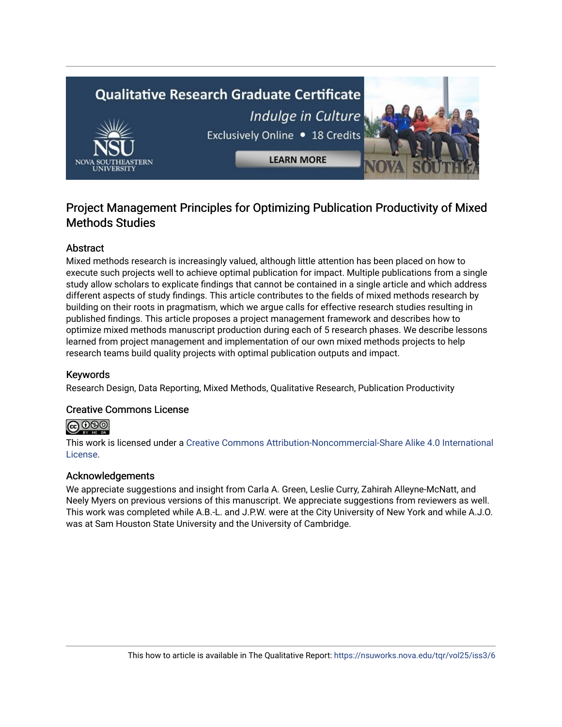# **Qualitative Research Graduate Certificate** Indulge in Culture Exclusively Online . 18 Credits **LEARN MORE**

## Project Management Principles for Optimizing Publication Productivity of Mixed Methods Studies

#### **Abstract**

Mixed methods research is increasingly valued, although little attention has been placed on how to execute such projects well to achieve optimal publication for impact. Multiple publications from a single study allow scholars to explicate findings that cannot be contained in a single article and which address different aspects of study findings. This article contributes to the fields of mixed methods research by building on their roots in pragmatism, which we argue calls for effective research studies resulting in published findings. This article proposes a project management framework and describes how to optimize mixed methods manuscript production during each of 5 research phases. We describe lessons learned from project management and implementation of our own mixed methods projects to help research teams build quality projects with optimal publication outputs and impact.

#### Keywords

Research Design, Data Reporting, Mixed Methods, Qualitative Research, Publication Productivity

#### Creative Commons License

#### **@** 000

This work is licensed under a [Creative Commons Attribution-Noncommercial-Share Alike 4.0 International](https://creativecommons.org/licenses/by-nc-sa/4.0/)  [License](https://creativecommons.org/licenses/by-nc-sa/4.0/).

#### Acknowledgements

We appreciate suggestions and insight from Carla A. Green, Leslie Curry, Zahirah Alleyne-McNatt, and Neely Myers on previous versions of this manuscript. We appreciate suggestions from reviewers as well. This work was completed while A.B.-L. and J.P.W. were at the City University of New York and while A.J.O. was at Sam Houston State University and the University of Cambridge.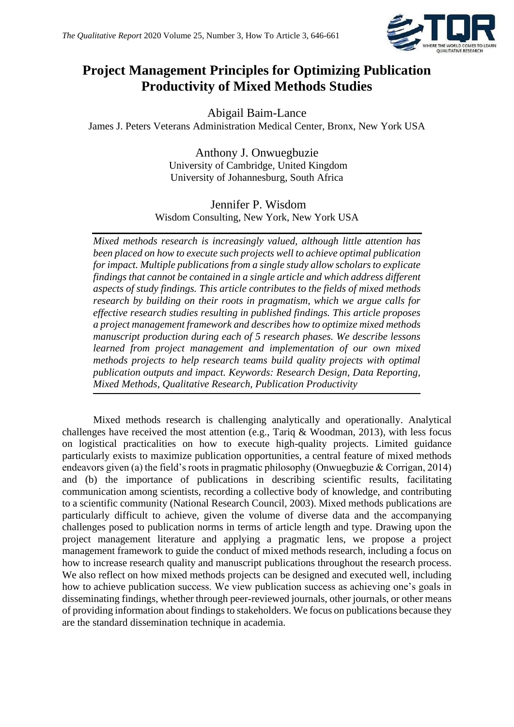

## **Project Management Principles for Optimizing Publication Productivity of Mixed Methods Studies**

Abigail Baim-Lance James J. Peters Veterans Administration Medical Center, Bronx, New York USA

> Anthony J. Onwuegbuzie University of Cambridge, United Kingdom University of Johannesburg, South Africa

Jennifer P. Wisdom Wisdom Consulting, New York, New York USA

*Mixed methods research is increasingly valued, although little attention has been placed on how to execute such projects well to achieve optimal publication for impact. Multiple publications from a single study allow scholars to explicate findings that cannot be contained in a single article and which address different aspects of study findings. This article contributes to the fields of mixed methods research by building on their roots in pragmatism, which we argue calls for effective research studies resulting in published findings. This article proposes a project management framework and describes how to optimize mixed methods manuscript production during each of 5 research phases. We describe lessons learned from project management and implementation of our own mixed methods projects to help research teams build quality projects with optimal publication outputs and impact. Keywords: Research Design, Data Reporting, Mixed Methods, Qualitative Research, Publication Productivity*

Mixed methods research is challenging analytically and operationally. Analytical challenges have received the most attention (e.g., Tariq & Woodman, 2013), with less focus on logistical practicalities on how to execute high-quality projects. Limited guidance particularly exists to maximize publication opportunities, a central feature of mixed methods endeavors given (a) the field's roots in pragmatic philosophy (Onwuegbuzie & Corrigan, 2014) and (b) the importance of publications in describing scientific results, facilitating communication among scientists, recording a collective body of knowledge, and contributing to a scientific community (National Research Council, 2003). Mixed methods publications are particularly difficult to achieve, given the volume of diverse data and the accompanying challenges posed to publication norms in terms of article length and type. Drawing upon the project management literature and applying a pragmatic lens, we propose a project management framework to guide the conduct of mixed methods research, including a focus on how to increase research quality and manuscript publications throughout the research process. We also reflect on how mixed methods projects can be designed and executed well, including how to achieve publication success. We view publication success as achieving one's goals in disseminating findings, whether through peer-reviewed journals, other journals, or other means of providing information about findings to stakeholders. We focus on publications because they are the standard dissemination technique in academia.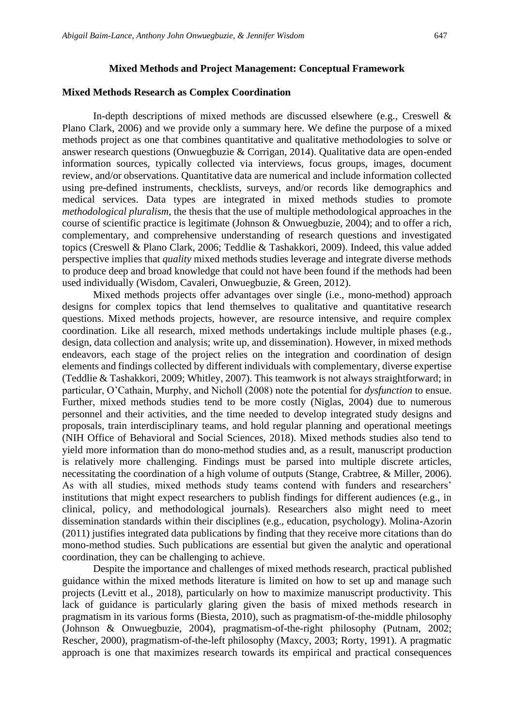#### **Mixed Methods and Project Management: Conceptual Framework**

#### **Mixed Methods Research as Complex Coordination**

In-depth descriptions of mixed methods are discussed elsewhere (e.g., Creswell & Plano Clark, 2006) and we provide only a summary here. We define the purpose of a mixed methods project as one that combines quantitative and qualitative methodologies to solve or answer research questions (Onwuegbuzie & Corrigan, 2014). Qualitative data are open-ended information sources, typically collected via interviews, focus groups, images, document review, and/or observations. Quantitative data are numerical and include information collected using pre-defined instruments, checklists, surveys, and/or records like demographics and medical services. Data types are integrated in mixed methods studies to promote *methodological pluralism*, the thesis that the use of multiple methodological approaches in the course of scientific practice is legitimate (Johnson & Onwuegbuzie, 2004); and to offer a rich, complementary, and comprehensive understanding of research questions and investigated topics (Creswell & Plano Clark, 2006; Teddlie & Tashakkori, 2009). Indeed, this value added perspective implies that *quality* mixed methods studies leverage and integrate diverse methods to produce deep and broad knowledge that could not have been found if the methods had been used individually (Wisdom, Cavaleri, Onwuegbuzie, & Green, 2012).

Mixed methods projects offer advantages over single (i.e., mono-method) approach designs for complex topics that lend themselves to qualitative and quantitative research questions. Mixed methods projects, however, are resource intensive, and require complex coordination. Like all research, mixed methods undertakings include multiple phases (e.g., design, data collection and analysis; write up, and dissemination). However, in mixed methods endeavors, each stage of the project relies on the integration and coordination of design elements and findings collected by different individuals with complementary, diverse expertise (Teddlie & Tashakkori, 2009; Whitley, 2007). This teamwork is not always straightforward; in particular, O'Cathain, Murphy, and Nicholl (2008) note the potential for *dysfunction* to ensue. Further, mixed methods studies tend to be more costly (Niglas, 2004) due to numerous personnel and their activities, and the time needed to develop integrated study designs and proposals, train interdisciplinary teams, and hold regular planning and operational meetings (NIH Office of Behavioral and Social Sciences, 2018). Mixed methods studies also tend to yield more information than do mono-method studies and, as a result, manuscript production is relatively more challenging. Findings must be parsed into multiple discrete articles, necessitating the coordination of a high volume of outputs (Stange, Crabtree, & Miller, 2006). As with all studies, mixed methods study teams contend with funders and researchers' institutions that might expect researchers to publish findings for different audiences (e.g., in clinical, policy, and methodological journals). Researchers also might need to meet dissemination standards within their disciplines (e.g., education, psychology). Molina-Azorin (2011) justifies integrated data publications by finding that they receive more citations than do mono-method studies. Such publications are essential but given the analytic and operational coordination, they can be challenging to achieve.

Despite the importance and challenges of mixed methods research, practical published guidance within the mixed methods literature is limited on how to set up and manage such projects (Levitt et al., 2018), particularly on how to maximize manuscript productivity. This lack of guidance is particularly glaring given the basis of mixed methods research in pragmatism in its various forms (Biesta, 2010), such as pragmatism-of-the-middle philosophy (Johnson & Onwuegbuzie, 2004), pragmatism-of-the-right philosophy (Putnam, 2002; Rescher, 2000), pragmatism-of-the-left philosophy (Maxcy, 2003; Rorty, 1991). A pragmatic approach is one that maximizes research towards its empirical and practical consequences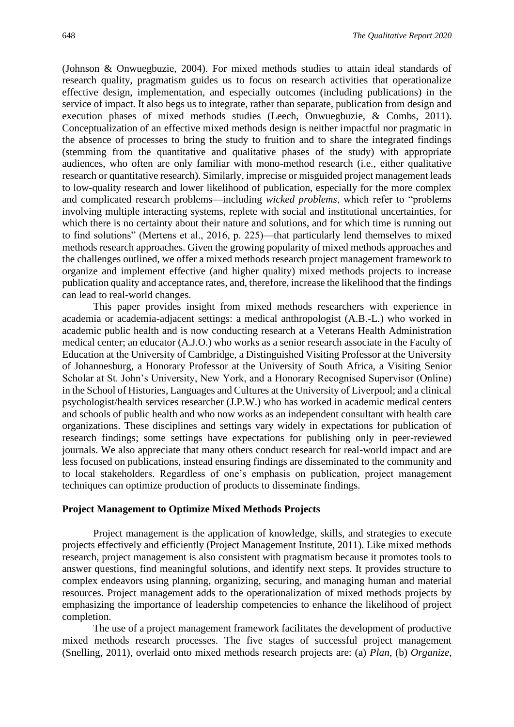(Johnson & Onwuegbuzie, 2004). For mixed methods studies to attain ideal standards of research quality, pragmatism guides us to focus on research activities that operationalize effective design, implementation, and especially outcomes (including publications) in the service of impact. It also begs us to integrate, rather than separate, publication from design and execution phases of mixed methods studies (Leech, Onwuegbuzie, & Combs, 2011). Conceptualization of an effective mixed methods design is neither impactful nor pragmatic in the absence of processes to bring the study to fruition and to share the integrated findings (stemming from the quantitative and qualitative phases of the study) with appropriate audiences, who often are only familiar with mono-method research (i.e., either qualitative research or quantitative research). Similarly, imprecise or misguided project management leads to low-quality research and lower likelihood of publication, especially for the more complex and complicated research problems—including *wicked problems*, which refer to "problems involving multiple interacting systems, replete with social and institutional uncertainties, for which there is no certainty about their nature and solutions, and for which time is running out to find solutions" (Mertens et al., 2016, p. 225)—that particularly lend themselves to mixed methods research approaches. Given the growing popularity of mixed methods approaches and the challenges outlined, we offer a mixed methods research project management framework to organize and implement effective (and higher quality) mixed methods projects to increase publication quality and acceptance rates, and, therefore, increase the likelihood that the findings can lead to real-world changes.

This paper provides insight from mixed methods researchers with experience in academia or academia-adjacent settings: a medical anthropologist (A.B.-L.) who worked in academic public health and is now conducting research at a Veterans Health Administration medical center; an educator (A.J.O.) who works as a senior research associate in the Faculty of Education at the University of Cambridge, a Distinguished Visiting Professor at the University of Johannesburg, a Honorary Professor at the University of South Africa, a Visiting Senior Scholar at St. John's University, New York, and a Honorary Recognised Supervisor (Online) in the School of Histories, Languages and Cultures at the University of Liverpool; and a clinical psychologist/health services researcher (J.P.W.) who has worked in academic medical centers and schools of public health and who now works as an independent consultant with health care organizations. These disciplines and settings vary widely in expectations for publication of research findings; some settings have expectations for publishing only in peer-reviewed journals. We also appreciate that many others conduct research for real-world impact and are less focused on publications, instead ensuring findings are disseminated to the community and to local stakeholders. Regardless of one's emphasis on publication, project management techniques can optimize production of products to disseminate findings.

#### **Project Management to Optimize Mixed Methods Projects**

Project management is the application of knowledge, skills, and strategies to execute projects effectively and efficiently (Project Management Institute, 2011). Like mixed methods research, project management is also consistent with pragmatism because it promotes tools to answer questions, find meaningful solutions, and identify next steps. It provides structure to complex endeavors using planning, organizing, securing, and managing human and material resources. Project management adds to the operationalization of mixed methods projects by emphasizing the importance of leadership competencies to enhance the likelihood of project completion.

The use of a project management framework facilitates the development of productive mixed methods research processes. The five stages of successful project management (Snelling, 2011), overlaid onto mixed methods research projects are: (a) *Plan*, (b) *Organize*,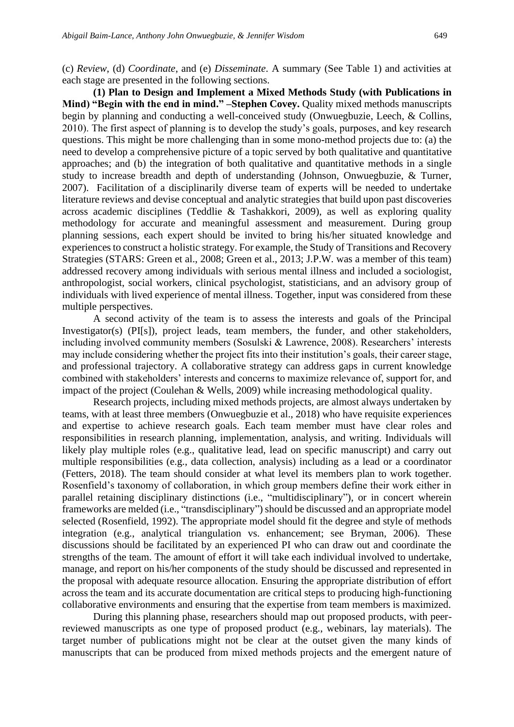(c) *Review*, (d) *Coordinate*, and (e) *Disseminate*. A summary (See Table 1) and activities at each stage are presented in the following sections.

**(1) Plan to Design and Implement a Mixed Methods Study (with Publications in Mind) "Begin with the end in mind." –Stephen Covey.** Quality mixed methods manuscripts begin by planning and conducting a well-conceived study (Onwuegbuzie, Leech, & Collins, 2010). The first aspect of planning is to develop the study's goals, purposes, and key research questions. This might be more challenging than in some mono-method projects due to: (a) the need to develop a comprehensive picture of a topic served by both qualitative and quantitative approaches; and (b) the integration of both qualitative and quantitative methods in a single study to increase breadth and depth of understanding (Johnson, Onwuegbuzie, & Turner, 2007). Facilitation of a disciplinarily diverse team of experts will be needed to undertake literature reviews and devise conceptual and analytic strategies that build upon past discoveries across academic disciplines (Teddlie & Tashakkori, 2009), as well as exploring quality methodology for accurate and meaningful assessment and measurement. During group planning sessions, each expert should be invited to bring his/her situated knowledge and experiences to construct a holistic strategy. For example, the Study of Transitions and Recovery Strategies (STARS: Green et al., 2008; Green et al., 2013; J.P.W. was a member of this team) addressed recovery among individuals with serious mental illness and included a sociologist, anthropologist, social workers, clinical psychologist, statisticians, and an advisory group of individuals with lived experience of mental illness. Together, input was considered from these multiple perspectives.

A second activity of the team is to assess the interests and goals of the Principal Investigator(s) (PI[s]), project leads, team members, the funder, and other stakeholders, including involved community members (Sosulski & Lawrence, 2008). Researchers' interests may include considering whether the project fits into their institution's goals, their career stage, and professional trajectory. A collaborative strategy can address gaps in current knowledge combined with stakeholders' interests and concerns to maximize relevance of, support for, and impact of the project (Coulehan & Wells, 2009) while increasing methodological quality.

Research projects, including mixed methods projects, are almost always undertaken by teams, with at least three members (Onwuegbuzie et al., 2018) who have requisite experiences and expertise to achieve research goals. Each team member must have clear roles and responsibilities in research planning, implementation, analysis, and writing. Individuals will likely play multiple roles (e.g., qualitative lead, lead on specific manuscript) and carry out multiple responsibilities (e.g., data collection, analysis) including as a lead or a coordinator (Fetters, 2018). The team should consider at what level its members plan to work together. Rosenfield's taxonomy of collaboration, in which group members define their work either in parallel retaining disciplinary distinctions (i.e., "multidisciplinary"), or in concert wherein frameworks are melded (i.e., "transdisciplinary") should be discussed and an appropriate model selected (Rosenfield, 1992). The appropriate model should fit the degree and style of methods integration (e.g., analytical triangulation vs. enhancement; see Bryman, 2006). These discussions should be facilitated by an experienced PI who can draw out and coordinate the strengths of the team. The amount of effort it will take each individual involved to undertake, manage, and report on his/her components of the study should be discussed and represented in the proposal with adequate resource allocation. Ensuring the appropriate distribution of effort across the team and its accurate documentation are critical steps to producing high-functioning collaborative environments and ensuring that the expertise from team members is maximized.

During this planning phase, researchers should map out proposed products, with peerreviewed manuscripts as one type of proposed product (e.g., webinars, lay materials). The target number of publications might not be clear at the outset given the many kinds of manuscripts that can be produced from mixed methods projects and the emergent nature of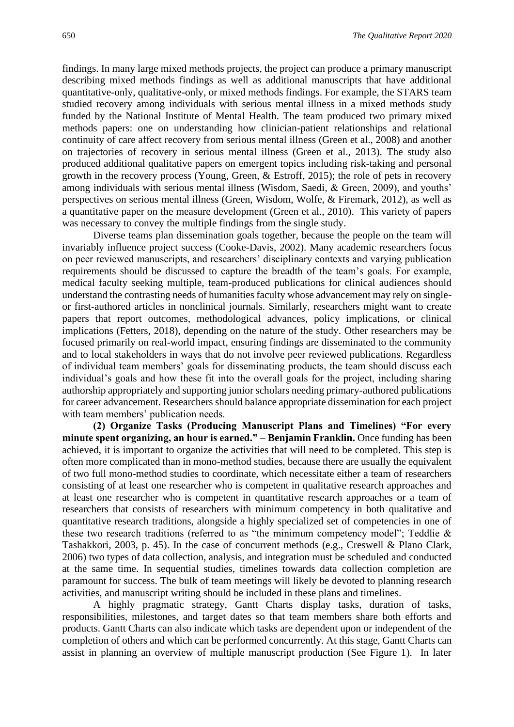findings. In many large mixed methods projects, the project can produce a primary manuscript describing mixed methods findings as well as additional manuscripts that have additional quantitative-only, qualitative-only, or mixed methods findings. For example, the STARS team studied recovery among individuals with serious mental illness in a mixed methods study funded by the National Institute of Mental Health. The team produced two primary mixed methods papers: one on understanding how clinician-patient relationships and relational continuity of care affect recovery from serious mental illness (Green et al., 2008) and another on trajectories of recovery in serious mental illness (Green et al., 2013). The study also produced additional qualitative papers on emergent topics including risk-taking and personal growth in the recovery process (Young, Green, & Estroff, 2015); the role of pets in recovery among individuals with serious mental illness (Wisdom, Saedi, & Green, 2009), and youths' perspectives on serious mental illness (Green, Wisdom, Wolfe, & Firemark, 2012), as well as a quantitative paper on the measure development (Green et al., 2010). This variety of papers was necessary to convey the multiple findings from the single study.

Diverse teams plan dissemination goals together, because the people on the team will invariably influence project success (Cooke-Davis, 2002). Many academic researchers focus on peer reviewed manuscripts, and researchers' disciplinary contexts and varying publication requirements should be discussed to capture the breadth of the team's goals. For example, medical faculty seeking multiple, team-produced publications for clinical audiences should understand the contrasting needs of humanities faculty whose advancement may rely on singleor first-authored articles in nonclinical journals. Similarly, researchers might want to create papers that report outcomes, methodological advances, policy implications, or clinical implications (Fetters, 2018), depending on the nature of the study. Other researchers may be focused primarily on real-world impact, ensuring findings are disseminated to the community and to local stakeholders in ways that do not involve peer reviewed publications. Regardless of individual team members' goals for disseminating products, the team should discuss each individual's goals and how these fit into the overall goals for the project, including sharing authorship appropriately and supporting junior scholars needing primary-authored publications for career advancement. Researchers should balance appropriate dissemination for each project with team members' publication needs.

**(2) Organize Tasks (Producing Manuscript Plans and Timelines) "For every minute spent organizing, an hour is earned." – Benjamin Franklin.** Once funding has been achieved, it is important to organize the activities that will need to be completed. This step is often more complicated than in mono-method studies, because there are usually the equivalent of two full mono-method studies to coordinate, which necessitate either a team of researchers consisting of at least one researcher who is competent in qualitative research approaches and at least one researcher who is competent in quantitative research approaches or a team of researchers that consists of researchers with minimum competency in both qualitative and quantitative research traditions, alongside a highly specialized set of competencies in one of these two research traditions (referred to as "the minimum competency model"; Teddlie & Tashakkori, 2003, p. 45). In the case of concurrent methods (e.g., Creswell & Plano Clark, 2006) two types of data collection, analysis, and integration must be scheduled and conducted at the same time. In sequential studies, timelines towards data collection completion are paramount for success. The bulk of team meetings will likely be devoted to planning research activities, and manuscript writing should be included in these plans and timelines.

A highly pragmatic strategy, Gantt Charts display tasks, duration of tasks, responsibilities, milestones, and target dates so that team members share both efforts and products. Gantt Charts can also indicate which tasks are dependent upon or independent of the completion of others and which can be performed concurrently. At this stage, Gantt Charts can assist in planning an overview of multiple manuscript production (See Figure 1). In later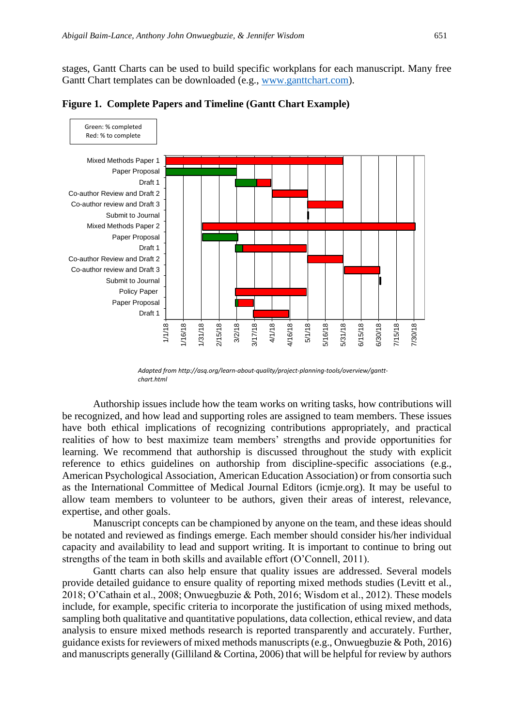stages, Gantt Charts can be used to build specific workplans for each manuscript. Many free Gantt Chart templates can be downloaded (e.g., [www.ganttchart.com\)](http://www.ganttchart.com/).



**Figure 1. Complete Papers and Timeline (Gantt Chart Example)**

Authorship issues include how the team works on writing tasks, how contributions will be recognized, and how lead and supporting roles are assigned to team members. These issues have both ethical implications of recognizing contributions appropriately, and practical realities of how to best maximize team members' strengths and provide opportunities for learning. We recommend that authorship is discussed throughout the study with explicit reference to ethics guidelines on authorship from discipline-specific associations (e.g., American Psychological Association, American Education Association) or from consortia such as the International Committee of Medical Journal Editors (icmje.org). It may be useful to allow team members to volunteer to be authors, given their areas of interest, relevance, expertise, and other goals.

Manuscript concepts can be championed by anyone on the team, and these ideas should be notated and reviewed as findings emerge. Each member should consider his/her individual capacity and availability to lead and support writing. It is important to continue to bring out strengths of the team in both skills and available effort (O'Connell, 2011).

Gantt charts can also help ensure that quality issues are addressed. Several models provide detailed guidance to ensure quality of reporting mixed methods studies (Levitt et al., 2018; O'Cathain et al., 2008; Onwuegbuzie & Poth, 2016; Wisdom et al., 2012). These models include, for example, specific criteria to incorporate the justification of using mixed methods, sampling both qualitative and quantitative populations, data collection, ethical review, and data analysis to ensure mixed methods research is reported transparently and accurately. Further, guidance exists for reviewers of mixed methods manuscripts (e.g., Onwuegbuzie & Poth, 2016) and manuscripts generally (Gilliland & Cortina, 2006) that will be helpful for review by authors

*Adapted from http://asq.org/learn-about-quality/project-planning-tools/overview/ganttchart.html*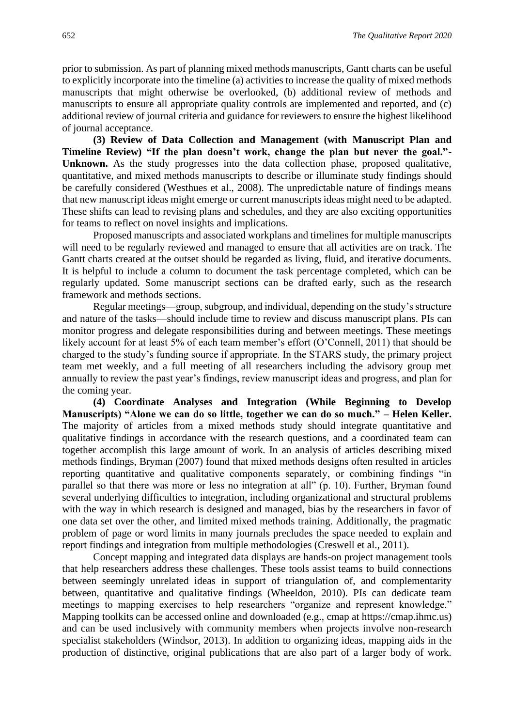prior to submission. As part of planning mixed methods manuscripts, Gantt charts can be useful to explicitly incorporate into the timeline (a) activities to increase the quality of mixed methods manuscripts that might otherwise be overlooked, (b) additional review of methods and manuscripts to ensure all appropriate quality controls are implemented and reported, and (c) additional review of journal criteria and guidance for reviewers to ensure the highest likelihood of journal acceptance.

**(3) Review of Data Collection and Management (with Manuscript Plan and Timeline Review) "If the plan doesn't work, change the plan but never the goal."- Unknown.** As the study progresses into the data collection phase, proposed qualitative, quantitative, and mixed methods manuscripts to describe or illuminate study findings should be carefully considered (Westhues et al., 2008). The unpredictable nature of findings means that new manuscript ideas might emerge or current manuscripts ideas might need to be adapted. These shifts can lead to revising plans and schedules, and they are also exciting opportunities for teams to reflect on novel insights and implications.

Proposed manuscripts and associated workplans and timelines for multiple manuscripts will need to be regularly reviewed and managed to ensure that all activities are on track. The Gantt charts created at the outset should be regarded as living, fluid, and iterative documents. It is helpful to include a column to document the task percentage completed, which can be regularly updated. Some manuscript sections can be drafted early, such as the research framework and methods sections.

Regular meetings—group, subgroup, and individual, depending on the study's structure and nature of the tasks—should include time to review and discuss manuscript plans. PIs can monitor progress and delegate responsibilities during and between meetings. These meetings likely account for at least 5% of each team member's effort (O'Connell, 2011) that should be charged to the study's funding source if appropriate. In the STARS study, the primary project team met weekly, and a full meeting of all researchers including the advisory group met annually to review the past year's findings, review manuscript ideas and progress, and plan for the coming year.

**(4) Coordinate Analyses and Integration (While Beginning to Develop Manuscripts) "Alone we can do so little, together we can do so much." – Helen Keller.** The majority of articles from a mixed methods study should integrate quantitative and qualitative findings in accordance with the research questions, and a coordinated team can together accomplish this large amount of work. In an analysis of articles describing mixed methods findings, Bryman (2007) found that mixed methods designs often resulted in articles reporting quantitative and qualitative components separately, or combining findings "in parallel so that there was more or less no integration at all" (p. 10). Further, Bryman found several underlying difficulties to integration, including organizational and structural problems with the way in which research is designed and managed, bias by the researchers in favor of one data set over the other, and limited mixed methods training. Additionally, the pragmatic problem of page or word limits in many journals precludes the space needed to explain and report findings and integration from multiple methodologies (Creswell et al., 2011).

Concept mapping and integrated data displays are hands-on project management tools that help researchers address these challenges. These tools assist teams to build connections between seemingly unrelated ideas in support of triangulation of, and complementarity between, quantitative and qualitative findings (Wheeldon, 2010). PIs can dedicate team meetings to mapping exercises to help researchers "organize and represent knowledge." Mapping toolkits can be accessed online and downloaded (e.g., cmap at https://cmap.ihmc.us) and can be used inclusively with community members when projects involve non-research specialist stakeholders (Windsor, 2013). In addition to organizing ideas, mapping aids in the production of distinctive, original publications that are also part of a larger body of work.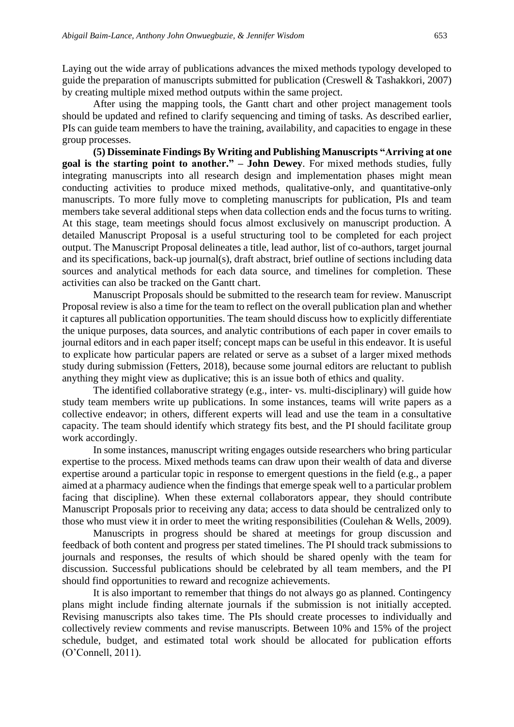Laying out the wide array of publications advances the mixed methods typology developed to guide the preparation of manuscripts submitted for publication (Creswell & Tashakkori, 2007) by creating multiple mixed method outputs within the same project.

After using the mapping tools, the Gantt chart and other project management tools should be updated and refined to clarify sequencing and timing of tasks. As described earlier, PIs can guide team members to have the training, availability, and capacities to engage in these group processes.

**(5) Disseminate Findings By Writing and Publishing Manuscripts "Arriving at one goal is the starting point to another." – John Dewey**. For mixed methods studies, fully integrating manuscripts into all research design and implementation phases might mean conducting activities to produce mixed methods, qualitative-only, and quantitative-only manuscripts. To more fully move to completing manuscripts for publication, PIs and team members take several additional steps when data collection ends and the focus turns to writing. At this stage, team meetings should focus almost exclusively on manuscript production. A detailed Manuscript Proposal is a useful structuring tool to be completed for each project output. The Manuscript Proposal delineates a title, lead author, list of co-authors, target journal and its specifications, back-up journal(s), draft abstract, brief outline of sections including data sources and analytical methods for each data source, and timelines for completion. These activities can also be tracked on the Gantt chart.

Manuscript Proposals should be submitted to the research team for review. Manuscript Proposal review is also a time for the team to reflect on the overall publication plan and whether it captures all publication opportunities. The team should discuss how to explicitly differentiate the unique purposes, data sources, and analytic contributions of each paper in cover emails to journal editors and in each paper itself; concept maps can be useful in this endeavor. It is useful to explicate how particular papers are related or serve as a subset of a larger mixed methods study during submission (Fetters, 2018), because some journal editors are reluctant to publish anything they might view as duplicative; this is an issue both of ethics and quality.

The identified collaborative strategy (e.g., inter- vs. multi-disciplinary) will guide how study team members write up publications. In some instances, teams will write papers as a collective endeavor; in others, different experts will lead and use the team in a consultative capacity. The team should identify which strategy fits best, and the PI should facilitate group work accordingly.

In some instances, manuscript writing engages outside researchers who bring particular expertise to the process. Mixed methods teams can draw upon their wealth of data and diverse expertise around a particular topic in response to emergent questions in the field (e.g., a paper aimed at a pharmacy audience when the findings that emerge speak well to a particular problem facing that discipline). When these external collaborators appear, they should contribute Manuscript Proposals prior to receiving any data; access to data should be centralized only to those who must view it in order to meet the writing responsibilities (Coulehan & Wells, 2009).

Manuscripts in progress should be shared at meetings for group discussion and feedback of both content and progress per stated timelines. The PI should track submissions to journals and responses, the results of which should be shared openly with the team for discussion. Successful publications should be celebrated by all team members, and the PI should find opportunities to reward and recognize achievements.

It is also important to remember that things do not always go as planned. Contingency plans might include finding alternate journals if the submission is not initially accepted. Revising manuscripts also takes time. The PIs should create processes to individually and collectively review comments and revise manuscripts. Between 10% and 15% of the project schedule, budget, and estimated total work should be allocated for publication efforts (O'Connell, 2011).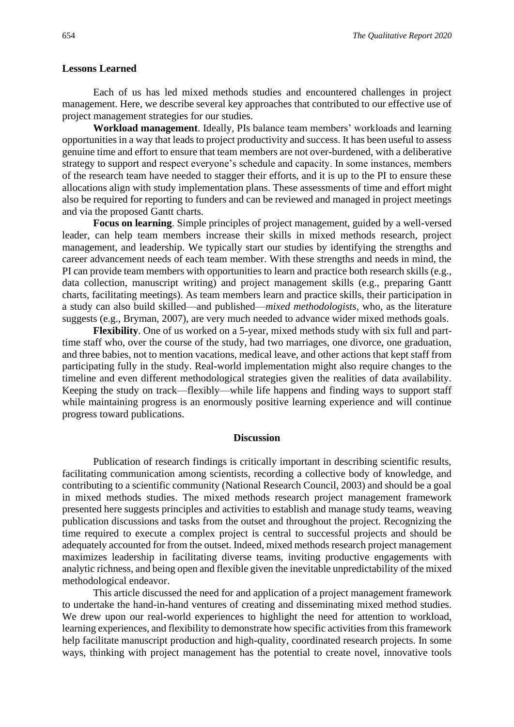#### **Lessons Learned**

Each of us has led mixed methods studies and encountered challenges in project management. Here, we describe several key approaches that contributed to our effective use of project management strategies for our studies.

**Workload management**. Ideally, PIs balance team members' workloads and learning opportunities in a way that leads to project productivity and success. It has been useful to assess genuine time and effort to ensure that team members are not over-burdened, with a deliberative strategy to support and respect everyone's schedule and capacity. In some instances, members of the research team have needed to stagger their efforts, and it is up to the PI to ensure these allocations align with study implementation plans. These assessments of time and effort might also be required for reporting to funders and can be reviewed and managed in project meetings and via the proposed Gantt charts.

**Focus on learning**. Simple principles of project management, guided by a well-versed leader, can help team members increase their skills in mixed methods research, project management, and leadership. We typically start our studies by identifying the strengths and career advancement needs of each team member. With these strengths and needs in mind, the PI can provide team members with opportunities to learn and practice both research skills (e.g., data collection, manuscript writing) and project management skills (e.g., preparing Gantt charts, facilitating meetings). As team members learn and practice skills, their participation in a study can also build skilled—and published—*mixed methodologists*, who, as the literature suggests (e.g., Bryman, 2007), are very much needed to advance wider mixed methods goals.

**Flexibility**. One of us worked on a 5-year, mixed methods study with six full and parttime staff who, over the course of the study, had two marriages, one divorce, one graduation, and three babies, not to mention vacations, medical leave, and other actions that kept staff from participating fully in the study. Real-world implementation might also require changes to the timeline and even different methodological strategies given the realities of data availability. Keeping the study on track—flexibly—while life happens and finding ways to support staff while maintaining progress is an enormously positive learning experience and will continue progress toward publications.

#### **Discussion**

Publication of research findings is critically important in describing scientific results, facilitating communication among scientists, recording a collective body of knowledge, and contributing to a scientific community (National Research Council, 2003) and should be a goal in mixed methods studies. The mixed methods research project management framework presented here suggests principles and activities to establish and manage study teams, weaving publication discussions and tasks from the outset and throughout the project. Recognizing the time required to execute a complex project is central to successful projects and should be adequately accounted for from the outset. Indeed, mixed methods research project management maximizes leadership in facilitating diverse teams, inviting productive engagements with analytic richness, and being open and flexible given the inevitable unpredictability of the mixed methodological endeavor.

This article discussed the need for and application of a project management framework to undertake the hand-in-hand ventures of creating and disseminating mixed method studies. We drew upon our real-world experiences to highlight the need for attention to workload, learning experiences, and flexibility to demonstrate how specific activities from this framework help facilitate manuscript production and high-quality, coordinated research projects. In some ways, thinking with project management has the potential to create novel, innovative tools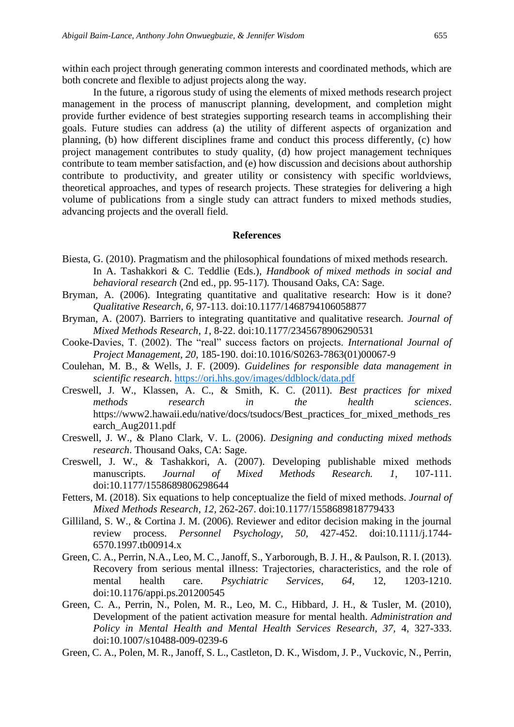within each project through generating common interests and coordinated methods, which are both concrete and flexible to adjust projects along the way.

In the future, a rigorous study of using the elements of mixed methods research project management in the process of manuscript planning, development, and completion might provide further evidence of best strategies supporting research teams in accomplishing their goals. Future studies can address (a) the utility of different aspects of organization and planning, (b) how different disciplines frame and conduct this process differently, (c) how project management contributes to study quality, (d) how project management techniques contribute to team member satisfaction, and (e) how discussion and decisions about authorship contribute to productivity, and greater utility or consistency with specific worldviews, theoretical approaches, and types of research projects. These strategies for delivering a high volume of publications from a single study can attract funders to mixed methods studies, advancing projects and the overall field.

#### **References**

- Biesta, G. (2010). Pragmatism and the philosophical foundations of mixed methods research. In A. Tashakkori & C. Teddlie (Eds.), *Handbook of mixed methods in social and behavioral research* (2nd ed., pp. 95-117)*.* Thousand Oaks, CA: Sage.
- Bryman, A. (2006). Integrating quantitative and qualitative research: How is it done? *Qualitative Research, 6,* 97-113. doi:10.1177/1468794106058877
- Bryman, A. (2007). Barriers to integrating quantitative and qualitative research. *Journal of Mixed Methods Research, 1*, 8-22. doi:10.1177/2345678906290531
- Cooke-Davies, T. (2002). The "real" success factors on projects. *International Journal of Project Management, 20,* 185-190. doi:10.1016/S0263-7863(01)00067-9
- Coulehan, M. B., & Wells, J. F. (2009). *Guidelines for responsible data management in scientific research*.<https://ori.hhs.gov/images/ddblock/data.pdf>
- Creswell, J. W., Klassen, A. C., & Smith, K. C. (2011). *Best practices for mixed methods research in the health sciences*. https://www2.hawaii.edu/native/docs/tsudocs/Best\_practices\_for\_mixed\_methods\_res earch\_Aug2011.pdf
- Creswell, J. W., & Plano Clark, V. L. (2006). *Designing and conducting mixed methods research*. Thousand Oaks, CA: Sage.
- Creswell, J. W., & Tashakkori, A. (2007). Developing publishable mixed methods manuscripts. *Journal of Mixed Methods Research. 1,* 107-111. doi:10.1177/1558689806298644
- Fetters, M. (2018). Six equations to help conceptualize the field of mixed methods. *Journal of Mixed Methods Research, 12,* 262-267. doi:10.1177/1558689818779433
- Gilliland, S. W., & Cortina J. M. (2006). Reviewer and editor decision making in the journal review process. *Personnel Psychology, 50,* 427-452. doi:10.1111/j.1744- 6570.1997.tb00914.x
- Green, C. A., Perrin, N.A., Leo, M. C., Janoff, S., Yarborough, B. J. H., & Paulson, R. I. (2013). Recovery from serious mental illness: Trajectories, characteristics, and the role of mental health care. *Psychiatric Services, 64,* 12, 1203-1210. doi:10.1176/appi.ps.201200545
- Green, C. A., Perrin, N., Polen, M. R., Leo, M. C., Hibbard, J. H., & Tusler, M. (2010), Development of the patient activation measure for mental health. *Administration and Policy in Mental Health and Mental Health Services Research, 37,* 4, 327-333. doi:10.1007/s10488-009-0239-6
- Green, C. A., Polen, M. R., Janoff, S. L., Castleton, D. K., Wisdom, J. P., Vuckovic, N., Perrin,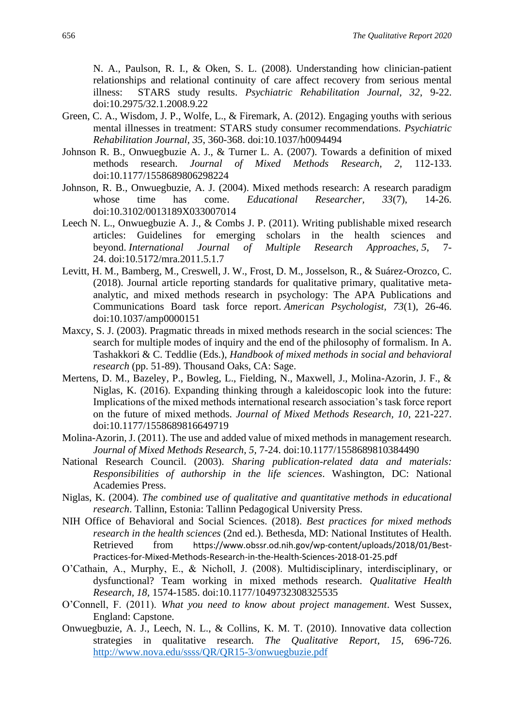N. A., Paulson, R. I., & Oken, S. L. (2008). Understanding how clinician-patient relationships and relational continuity of care affect recovery from serious mental illness: STARS study results. *Psychiatric Rehabilitation Journal, 32*, 9-22. doi:10.2975/32.1.2008.9.22

- Green, C. A., Wisdom, J. P., Wolfe, L., & Firemark, A. (2012). Engaging youths with serious mental illnesses in treatment: STARS study consumer recommendations. *Psychiatric Rehabilitation Journal, 35*, 360-368. doi:10.1037/h0094494
- Johnson R. B., Onwuegbuzie A. J., & Turner L. A. (2007). Towards a definition of mixed methods research. *Journal of Mixed Methods Research, 2,* 112-133. doi:10.1177/1558689806298224
- Johnson, R. B., Onwuegbuzie, A. J. (2004). Mixed methods research: A research paradigm whose time has come. *Educational Researcher, 33*(7), 14-26. doi:10.3102/0013189X033007014
- Leech N. L., Onwuegbuzie A. J., & Combs J. P. (2011). Writing publishable mixed research articles: Guidelines for emerging scholars in the health sciences and beyond. *International Journal of Multiple Research Approaches, 5*, 7- 24. doi:10.5172/mra.2011.5.1.7
- Levitt, H. M., Bamberg, M., Creswell, J. W., Frost, D. M., Josselson, R., & Suárez-Orozco, C. (2018). Journal article reporting standards for qualitative primary, qualitative metaanalytic, and mixed methods research in psychology: The APA Publications and Communications Board task force report. *American Psychologist, 73*(1)*,* 26-46. doi:10.1037/amp0000151
- Maxcy, S. J. (2003). Pragmatic threads in mixed methods research in the social sciences: The search for multiple modes of inquiry and the end of the philosophy of formalism. In A. Tashakkori & C. Teddlie (Eds.), *Handbook of mixed methods in social and behavioral research* (pp. 51-89). Thousand Oaks, CA: Sage.
- Mertens, D. M., Bazeley, P., Bowleg, L., Fielding, N., Maxwell, J., Molina-Azorin, J. F., & Niglas, K. (2016). Expanding thinking through a kaleidoscopic look into the future: Implications of the mixed methods international research association's task force report on the future of mixed methods. *Journal of Mixed Methods Research, 10*, 221-227. doi:10.1177/1558689816649719
- Molina-Azorin, J. (2011). The use and added value of mixed methods in management research. *Journal of Mixed Methods Research, 5,* 7-24. doi:10.1177/1558689810384490
- National Research Council. (2003). *Sharing publication-related data and materials: Responsibilities of authorship in the life sciences*. Washington, DC: National Academies Press.
- Niglas, K. (2004). *The combined use of qualitative and quantitative methods in educational research*. Tallinn, Estonia: Tallinn Pedagogical University Press.
- NIH Office of Behavioral and Social Sciences. (2018). *Best practices for mixed methods research in the health sciences* (2nd ed.). Bethesda, MD: National Institutes of Health. Retrieved from https://www.obssr.od.nih.gov/wp-content/uploads/2018/01/Best-Practices-for-Mixed-Methods-Research-in-the-Health-Sciences-2018-01-25.pdf
- O'Cathain, A., Murphy, E., & Nicholl, J. (2008). Multidisciplinary, interdisciplinary, or dysfunctional? Team working in mixed methods research. *Qualitative Health Research, 18,* 1574-1585. doi:10.1177/1049732308325535
- O'Connell, F. (2011). *What you need to know about project management*. West Sussex, England: Capstone.
- Onwuegbuzie, A. J., Leech, N. L., & Collins, K. M. T. (2010). Innovative data collection strategies in qualitative research. *The Qualitative Report*, *15*, 696-726. <http://www.nova.edu/ssss/QR/QR15-3/onwuegbuzie.pdf>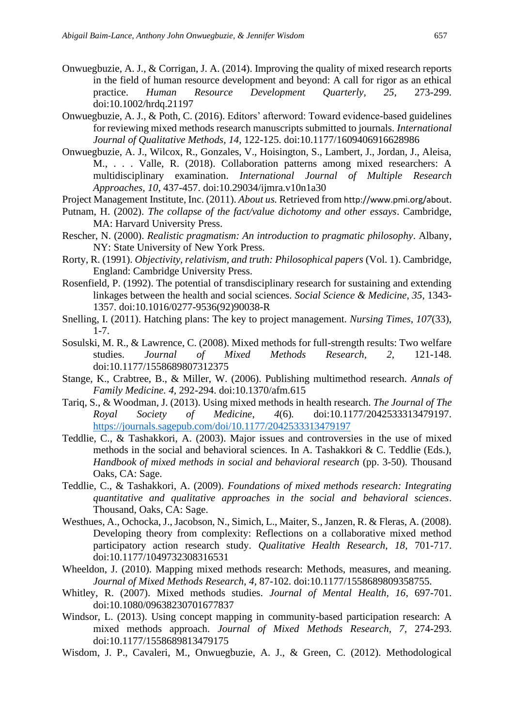- Onwuegbuzie, A. J., & Corrigan, J. A. (2014). Improving the quality of mixed research reports in the field of human resource development and beyond: A call for rigor as an ethical practice. *Human Resource Development Quarterly, 25,* 273-299. doi:10.1002/hrdq.21197
- Onwuegbuzie, A. J., & Poth, C. (2016). Editors' afterword: Toward evidence-based guidelines for reviewing mixed methods research manuscripts submitted to journals. *International Journal of Qualitative Methods, 14,* 122-125. doi:10.1177/1609406916628986
- Onwuegbuzie, A. J., Wilcox, R., Gonzales, V., Hoisington, S., Lambert, J., Jordan, J., Aleisa, M., . . . Valle, R. (2018). Collaboration patterns among mixed researchers: A multidisciplinary examination. *International Journal of Multiple Research Approaches, 10*, 437-457. doi:10.29034/ijmra.v10n1a30
- Project Management Institute, Inc. (2011). *About us.* Retrieved from http://www.pmi.org/about.
- Putnam, H. (2002). *The collapse of the fact/value dichotomy and other essays*. Cambridge, MA: Harvard University Press.
- Rescher, N. (2000). *Realistic pragmatism: An introduction to pragmatic philosophy*. Albany, NY: State University of New York Press.
- Rorty, R. (1991). *Objectivity, relativism, and truth: Philosophical papers* (Vol. 1). Cambridge, England: Cambridge University Press.
- Rosenfield, P. (1992). The potential of transdisciplinary research for sustaining and extending linkages between the health and social sciences. *Social Science & Medicine, 35,* 1343- 1357. doi:10.1016/0277-9536(92)90038-R
- Snelling, I. (2011). Hatching plans: The key to project management. *Nursing Times, 107*(33), 1-7.
- Sosulski, M. R., & Lawrence, C. (2008). Mixed methods for full-strength results: Two welfare studies. *Journal of Mixed Methods Research, 2,* 121-148. doi:10.1177/1558689807312375
- Stange, K., Crabtree, B., & Miller, W. (2006). Publishing multimethod research. *Annals of Family Medicine. 4,* 292-294. doi:10.1370/afm.615
- Tariq, S., & Woodman, J. (2013). Using mixed methods in health research. *The Journal of The Royal Society of Medicine*, *4*(6)*.* doi:10.1177/2042533313479197. <https://journals.sagepub.com/doi/10.1177/2042533313479197>
- Teddlie, C., & Tashakkori, A. (2003). Major issues and controversies in the use of mixed methods in the social and behavioral sciences. In A. Tashakkori & C. Teddlie (Eds.), *Handbook of mixed methods in social and behavioral research* (pp. 3-50). Thousand Oaks, CA: Sage.
- Teddlie, C., & Tashakkori, A. (2009). *Foundations of mixed methods research: Integrating quantitative and qualitative approaches in the social and behavioral sciences*. Thousand, Oaks, CA: Sage.
- Westhues, A., Ochocka, J., Jacobson, N., Simich, L., Maiter, S., Janzen, R. & Fleras, A. (2008). Developing theory from complexity: Reflections on a collaborative mixed method participatory action research study. *Qualitative Health Research, 18,* 701-717. doi:10.1177/1049732308316531
- Wheeldon, J. (2010). Mapping mixed methods research: Methods, measures, and meaning. *Journal of Mixed Methods Research*, *4,* 87-102. doi:10.1177/1558689809358755.
- Whitley, R. (2007). Mixed methods studies. *Journal of Mental Health, 16*, 697-701. doi:10.1080/09638230701677837
- Windsor, L. (2013). Using concept mapping in community-based participation research: A mixed methods approach. *Journal of Mixed Methods Research, 7,* 274-293. doi:10.1177/1558689813479175
- Wisdom, J. P., Cavaleri, M., Onwuegbuzie, A. J., & Green, C. (2012). Methodological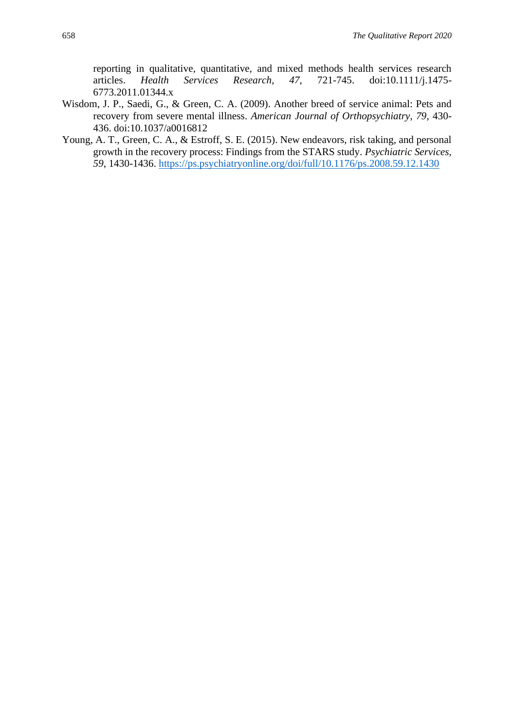reporting in qualitative, quantitative, and mixed methods health services research articles. *Health Services Research, 47,* 721-745. doi:10.1111/j.1475- 6773.2011.01344.x

- Wisdom, J. P., Saedi, G., & Green, C. A. (2009). Another breed of service animal: Pets and recovery from severe mental illness. *American Journal of Orthopsychiatry, 79*, 430- 436. doi:10.1037/a0016812
- Young, A. T., Green, C. A., & Estroff, S. E. (2015). New endeavors, risk taking, and personal growth in the recovery process: Findings from the STARS study. *Psychiatric Services, 59*, 1430-1436.<https://ps.psychiatryonline.org/doi/full/10.1176/ps.2008.59.12.1430>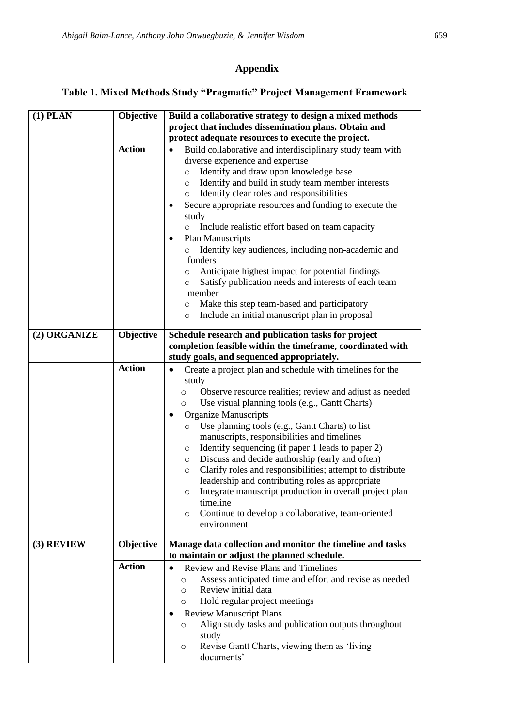## **Appendix**

## **Table 1. Mixed Methods Study "Pragmatic" Project Management Framework**

| $(1)$ PLAN   | Objective     | Build a collaborative strategy to design a mixed methods                                                                                                                                                                                                                                                                                                                                                                                                                                                                                                                                                                                                                                                                                                                 |
|--------------|---------------|--------------------------------------------------------------------------------------------------------------------------------------------------------------------------------------------------------------------------------------------------------------------------------------------------------------------------------------------------------------------------------------------------------------------------------------------------------------------------------------------------------------------------------------------------------------------------------------------------------------------------------------------------------------------------------------------------------------------------------------------------------------------------|
|              |               | project that includes dissemination plans. Obtain and                                                                                                                                                                                                                                                                                                                                                                                                                                                                                                                                                                                                                                                                                                                    |
|              |               | protect adequate resources to execute the project.                                                                                                                                                                                                                                                                                                                                                                                                                                                                                                                                                                                                                                                                                                                       |
|              | <b>Action</b> | Build collaborative and interdisciplinary study team with<br>$\bullet$<br>diverse experience and expertise<br>Identify and draw upon knowledge base<br>$\circ$<br>Identify and build in study team member interests<br>$\circ$<br>Identify clear roles and responsibilities<br>$\circ$<br>Secure appropriate resources and funding to execute the<br>٠<br>study<br>Include realistic effort based on team capacity<br>$\circ$<br><b>Plan Manuscripts</b><br>$\bullet$<br>Identify key audiences, including non-academic and<br>$\circ$<br>funders<br>Anticipate highest impact for potential findings<br>$\circ$<br>Satisfy publication needs and interests of each team<br>$\circ$                                                                                      |
|              |               | member                                                                                                                                                                                                                                                                                                                                                                                                                                                                                                                                                                                                                                                                                                                                                                   |
|              |               | Make this step team-based and participatory<br>O<br>Include an initial manuscript plan in proposal                                                                                                                                                                                                                                                                                                                                                                                                                                                                                                                                                                                                                                                                       |
|              |               | $\circ$                                                                                                                                                                                                                                                                                                                                                                                                                                                                                                                                                                                                                                                                                                                                                                  |
| (2) ORGANIZE | Objective     | Schedule research and publication tasks for project                                                                                                                                                                                                                                                                                                                                                                                                                                                                                                                                                                                                                                                                                                                      |
|              |               | completion feasible within the timeframe, coordinated with                                                                                                                                                                                                                                                                                                                                                                                                                                                                                                                                                                                                                                                                                                               |
|              |               | study goals, and sequenced appropriately.                                                                                                                                                                                                                                                                                                                                                                                                                                                                                                                                                                                                                                                                                                                                |
|              | <b>Action</b> | Create a project plan and schedule with timelines for the<br>$\bullet$<br>study<br>Observe resource realities; review and adjust as needed<br>$\circ$<br>Use visual planning tools (e.g., Gantt Charts)<br>O<br><b>Organize Manuscripts</b><br>Use planning tools (e.g., Gantt Charts) to list<br>$\circ$<br>manuscripts, responsibilities and timelines<br>Identify sequencing (if paper 1 leads to paper 2)<br>O<br>Discuss and decide authorship (early and often)<br>O<br>Clarify roles and responsibilities; attempt to distribute<br>$\circ$<br>leadership and contributing roles as appropriate<br>Integrate manuscript production in overall project plan<br>$\circ$<br>timeline<br>Continue to develop a collaborative, team-oriented<br>$\circ$<br>environment |
| (3) REVIEW   | Objective     | Manage data collection and monitor the timeline and tasks                                                                                                                                                                                                                                                                                                                                                                                                                                                                                                                                                                                                                                                                                                                |
|              |               | to maintain or adjust the planned schedule.                                                                                                                                                                                                                                                                                                                                                                                                                                                                                                                                                                                                                                                                                                                              |
|              | <b>Action</b> | Review and Revise Plans and Timelines<br>$\bullet$<br>Assess anticipated time and effort and revise as needed<br>$\circ$<br>Review initial data<br>$\circ$<br>Hold regular project meetings<br>O<br><b>Review Manuscript Plans</b><br>٠<br>Align study tasks and publication outputs throughout<br>$\circ$<br>study<br>Revise Gantt Charts, viewing them as 'living<br>O<br>documents'                                                                                                                                                                                                                                                                                                                                                                                   |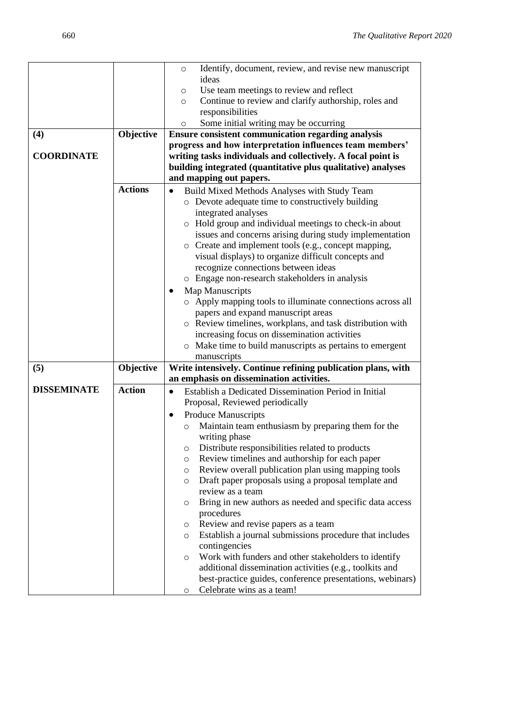|                    |                | Identify, document, review, and revise new manuscript<br>O         |
|--------------------|----------------|--------------------------------------------------------------------|
|                    |                | ideas                                                              |
|                    |                | Use team meetings to review and reflect<br>O                       |
|                    |                | Continue to review and clarify authorship, roles and<br>$\circ$    |
|                    |                | responsibilities                                                   |
|                    |                | Some initial writing may be occurring<br>$\circ$                   |
| (4)                | Objective      | <b>Ensure consistent communication regarding analysis</b>          |
|                    |                | progress and how interpretation influences team members'           |
| <b>COORDINATE</b>  |                | writing tasks individuals and collectively. A focal point is       |
|                    |                | building integrated (quantitative plus qualitative) analyses       |
|                    |                | and mapping out papers.                                            |
|                    | <b>Actions</b> | Build Mixed Methods Analyses with Study Team<br>$\bullet$          |
|                    |                | o Devote adequate time to constructively building                  |
|                    |                | integrated analyses                                                |
|                    |                | o Hold group and individual meetings to check-in about             |
|                    |                | issues and concerns arising during study implementation            |
|                    |                | o Create and implement tools (e.g., concept mapping,               |
|                    |                | visual displays) to organize difficult concepts and                |
|                    |                | recognize connections between ideas                                |
|                    |                | Engage non-research stakeholders in analysis<br>$\circ$            |
|                    |                |                                                                    |
|                    |                | <b>Map Manuscripts</b>                                             |
|                    |                | o Apply mapping tools to illuminate connections across all         |
|                    |                | papers and expand manuscript areas                                 |
|                    |                | o Review timelines, workplans, and task distribution with          |
|                    |                | increasing focus on dissemination activities                       |
|                    |                | o Make time to build manuscripts as pertains to emergent           |
|                    |                | manuscripts                                                        |
| (5)                | Objective      | Write intensively. Continue refining publication plans, with       |
| <b>DISSEMINATE</b> | <b>Action</b>  | an emphasis on dissemination activities.                           |
|                    |                | Establish a Dedicated Dissemination Period in Initial<br>$\bullet$ |
|                    |                | Proposal, Reviewed periodically                                    |
|                    |                | <b>Produce Manuscripts</b>                                         |
|                    |                | Maintain team enthusiasm by preparing them for the<br>$\circ$      |
|                    |                | writing phase                                                      |
|                    |                | Distribute responsibilities related to products<br>O               |
|                    |                | Review timelines and authorship for each paper<br>O                |
|                    |                | Review overall publication plan using mapping tools<br>O           |
|                    |                | Draft paper proposals using a proposal template and<br>$\circ$     |
|                    |                | review as a team                                                   |
|                    |                | Bring in new authors as needed and specific data access<br>O       |
|                    |                | procedures                                                         |
|                    |                | Review and revise papers as a team<br>$\circ$                      |
|                    |                | Establish a journal submissions procedure that includes<br>O       |
|                    |                | contingencies                                                      |
|                    |                | Work with funders and other stakeholders to identify<br>O          |
|                    |                | additional dissemination activities (e.g., toolkits and            |
|                    |                | best-practice guides, conference presentations, webinars)          |
|                    |                | Celebrate wins as a team!<br>O                                     |